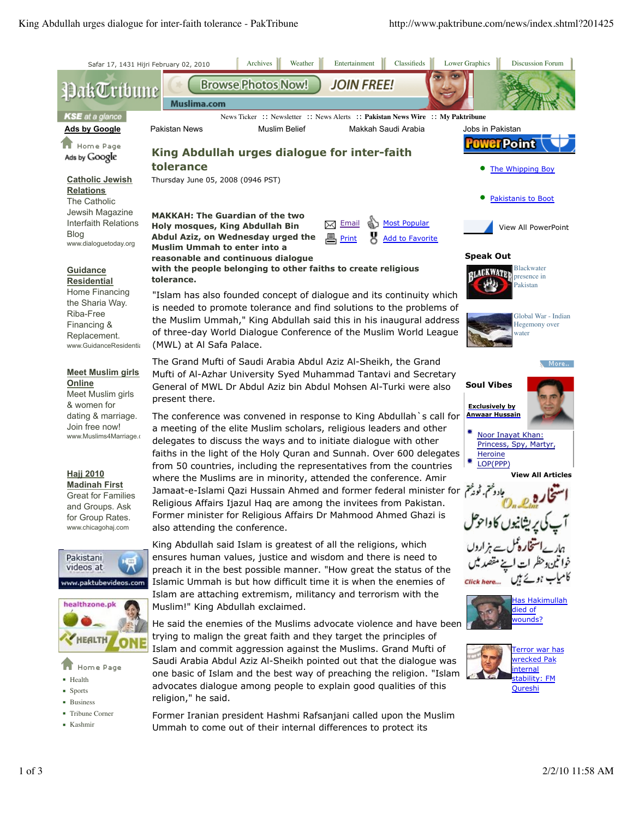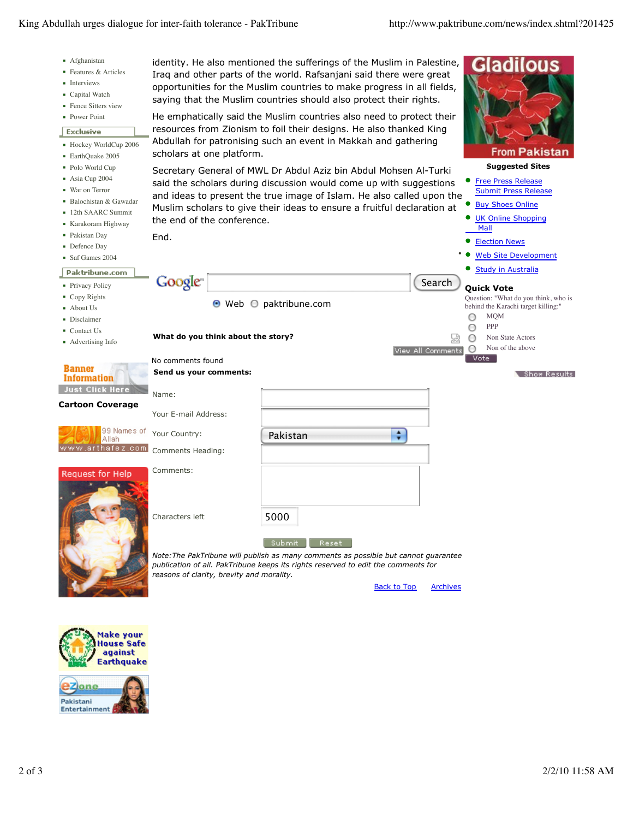